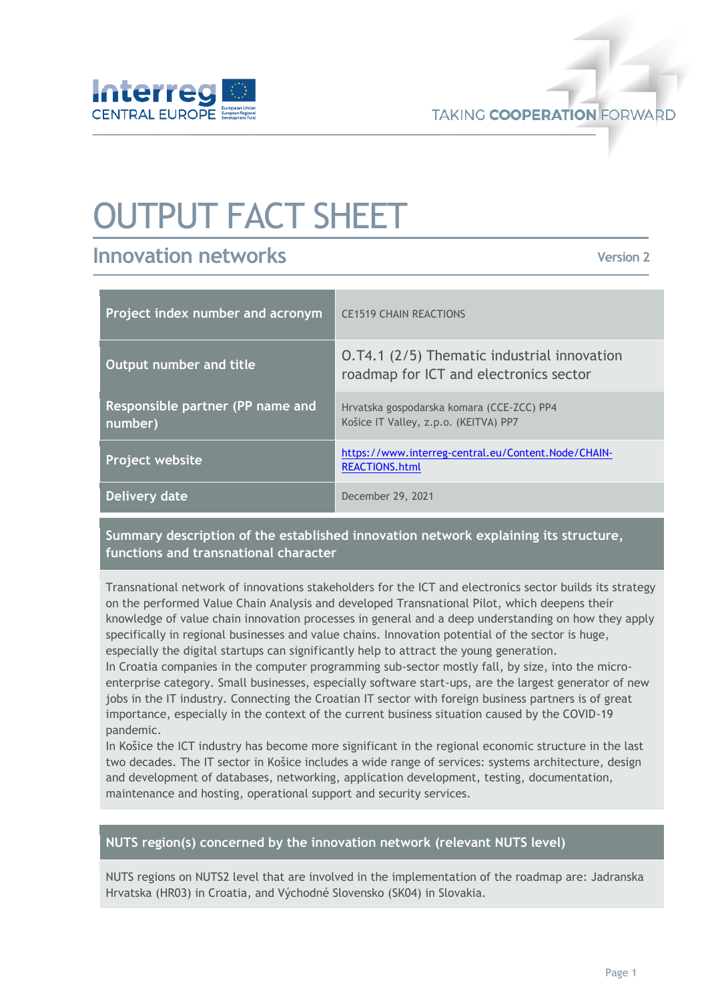

**TAKING COOPERATION FORWARD** 

# OUTPUT FACT SHEET

# **Innovation networks**

**Version 2**

| Project index number and acronym            | <b>CE1519 CHAIN REACTIONS</b>                                                         |
|---------------------------------------------|---------------------------------------------------------------------------------------|
| Output number and title                     | 0.74.1 (2/5) Thematic industrial innovation<br>roadmap for ICT and electronics sector |
| Responsible partner (PP name and<br>number) | Hrvatska gospodarska komara (CCE-ZCC) PP4<br>Košice IT Valley, z.p.o. (KEITVA) PP7    |
| <b>Project website</b>                      | https://www.interreg-central.eu/Content.Node/CHAIN-<br><b>REACTIONS.html</b>          |
| Delivery date                               | December 29, 2021                                                                     |

## **Summary description of the established innovation network explaining its structure, functions and transnational character**

Transnational network of innovations stakeholders for the ICT and electronics sector builds its strategy on the performed Value Chain Analysis and developed Transnational Pilot, which deepens their knowledge of value chain innovation processes in general and a deep understanding on how they apply specifically in regional businesses and value chains. Innovation potential of the sector is huge, especially the digital startups can significantly help to attract the young generation.

In Croatia companies in the computer programming sub-sector mostly fall, by size, into the microenterprise category. Small businesses, especially software start-ups, are the largest generator of new jobs in the IT industry. Connecting the Croatian IT sector with foreign business partners is of great importance, especially in the context of the current business situation caused by the COVID-19 pandemic.

In Košice the ICT industry has become more significant in the regional economic structure in the last two decades. The IT sector in Košice includes a wide range of services: systems architecture, design and development of databases, networking, application development, testing, documentation, maintenance and hosting, operational support and security services.

#### **NUTS region(s) concerned by the innovation network (relevant NUTS level)**

NUTS regions on NUTS2 level that are involved in the implementation of the roadmap are: Jadranska Hrvatska (HR03) in Croatia, and Východné Slovensko (SK04) in Slovakia.